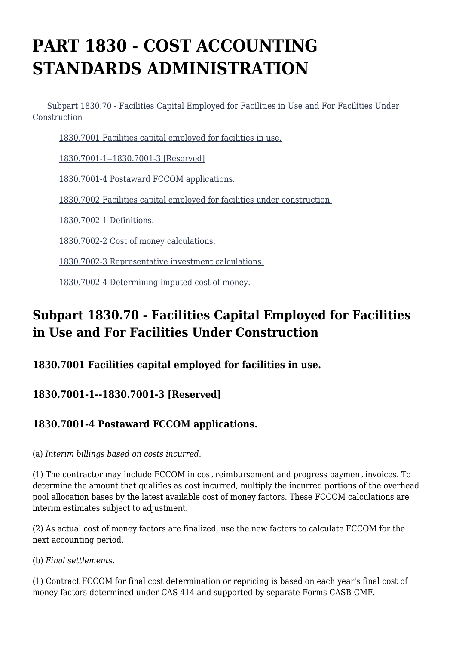# **PART 1830 - COST ACCOUNTING STANDARDS ADMINISTRATION**

 [Subpart 1830.70 - Facilities Capital Employed for Facilities in Use and For Facilities Under](https://login.acquisition.gov/%5Brp:link:nfs-part-1830%5D#Subpart_1830_70_T48_60420241) [Construction](https://login.acquisition.gov/%5Brp:link:nfs-part-1830%5D#Subpart_1830_70_T48_60420241)

[1830.7001 Facilities capital employed for facilities in use.](https://login.acquisition.gov/%5Brp:link:nfs-part-1830%5D#Section_1830_7001_T48_6042024111)

[1830.7001-1--1830.7001-3 \[Reserved\]](https://login.acquisition.gov/%5Brp:link:nfs-part-1830%5D#Section_1830_7001_1_1830_7001_3_T48_6042024112)

[1830.7001-4 Postaward FCCOM applications.](https://login.acquisition.gov/%5Brp:link:nfs-part-1830%5D#Section_1830_7001_4_T48_6042024113)

[1830.7002 Facilities capital employed for facilities under construction.](https://login.acquisition.gov/%5Brp:link:nfs-part-1830%5D#Section_1830_7002_T48_6042024114)

[1830.7002-1 Definitions.](https://login.acquisition.gov/%5Brp:link:nfs-part-1830%5D#Section_1830_7002_1_T48_6042024115)

[1830.7002-2 Cost of money calculations.](https://login.acquisition.gov/%5Brp:link:nfs-part-1830%5D#Section_1830_7002_2_T48_6042024116)

[1830.7002-3 Representative investment calculations.](https://login.acquisition.gov/%5Brp:link:nfs-part-1830%5D#Section_1830_7002_3_T48_6042024117)

[1830.7002-4 Determining imputed cost of money.](https://login.acquisition.gov/%5Brp:link:nfs-part-1830%5D#Section_1830_7002_4_T48_6042024118)

# **Subpart 1830.70 - Facilities Capital Employed for Facilities in Use and For Facilities Under Construction**

#### **1830.7001 Facilities capital employed for facilities in use.**

### **1830.7001-1--1830.7001-3 [Reserved]**

## **1830.7001-4 Postaward FCCOM applications.**

(a) *Interim billings based on costs incurred.*

(1) The contractor may include FCCOM in cost reimbursement and progress payment invoices. To determine the amount that qualifies as cost incurred, multiply the incurred portions of the overhead pool allocation bases by the latest available cost of money factors. These FCCOM calculations are interim estimates subject to adjustment.

(2) As actual cost of money factors are finalized, use the new factors to calculate FCCOM for the next accounting period.

(b) *Final settlements.*

(1) Contract FCCOM for final cost determination or repricing is based on each year's final cost of money factors determined under CAS 414 and supported by separate Forms CASB-CMF.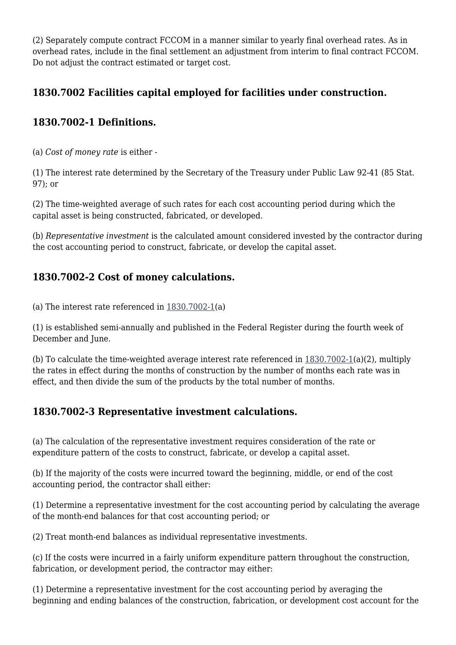(2) Separately compute contract FCCOM in a manner similar to yearly final overhead rates. As in overhead rates, include in the final settlement an adjustment from interim to final contract FCCOM. Do not adjust the contract estimated or target cost.

### **1830.7002 Facilities capital employed for facilities under construction.**

#### **1830.7002-1 Definitions.**

(a) *Cost of money rate* is either -

(1) The interest rate determined by the Secretary of the Treasury under Public Law 92-41 (85 Stat. 97); or

(2) The time-weighted average of such rates for each cost accounting period during which the capital asset is being constructed, fabricated, or developed.

(b) *Representative investment* is the calculated amount considered invested by the contractor during the cost accounting period to construct, fabricate, or develop the capital asset.

### **1830.7002-2 Cost of money calculations.**

(a) The interest rate referenced in [1830.7002-1\(](https://login.acquisition.gov/%5Brp:link:nfs-part-1830%5D#Section_1830_7002_1_T48_6042024115)a)

(1) is established semi-annually and published in the Federal Register during the fourth week of December and June.

(b) To calculate the time-weighted average interest rate referenced in [1830.7002-1](https://login.acquisition.gov/%5Brp:link:nfs-part-1830%5D#Section_1830_7002_1_T48_6042024115)(a)(2), multiply the rates in effect during the months of construction by the number of months each rate was in effect, and then divide the sum of the products by the total number of months.

### **1830.7002-3 Representative investment calculations.**

(a) The calculation of the representative investment requires consideration of the rate or expenditure pattern of the costs to construct, fabricate, or develop a capital asset.

(b) If the majority of the costs were incurred toward the beginning, middle, or end of the cost accounting period, the contractor shall either:

(1) Determine a representative investment for the cost accounting period by calculating the average of the month-end balances for that cost accounting period; or

(2) Treat month-end balances as individual representative investments.

(c) If the costs were incurred in a fairly uniform expenditure pattern throughout the construction, fabrication, or development period, the contractor may either:

(1) Determine a representative investment for the cost accounting period by averaging the beginning and ending balances of the construction, fabrication, or development cost account for the